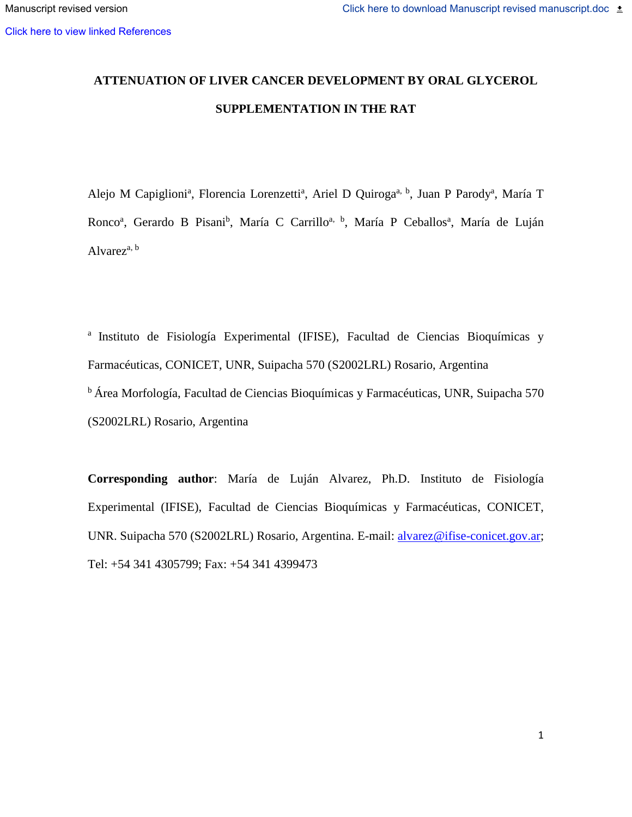# **ATTENUATION OF LIVER CANCER DEVELOPMENT BY ORAL GLYCEROL SUPPLEMENTATION IN THE RAT**

Alejo M Capiglioni<sup>a</sup>, Florencia Lorenzetti<sup>a</sup>, Ariel D Quiroga<sup>a, b</sup>, Juan P Parody<sup>a</sup>, María T Ronco<sup>a</sup>, Gerardo B Pisani<sup>b</sup>, María C Carrillo<sup>a, b</sup>, María P Ceballos<sup>a</sup>, María de Luján Alvarez $a, b$ 

<sup>a</sup> Instituto de Fisiología Experimental (IFISE), Facultad de Ciencias Bioquímicas y Farmacéuticas, CONICET, UNR, Suipacha 570 (S2002LRL) Rosario, Argentina <sup>b</sup> Área Morfología, Facultad de Ciencias Bioquímicas y Farmacéuticas, UNR, Suipacha 570 (S2002LRL) Rosario, Argentina

**Corresponding author**: María de Luján Alvarez, Ph.D. Instituto de Fisiología Experimental (IFISE), Facultad de Ciencias Bioquímicas y Farmacéuticas, CONICET, UNR. Suipacha 570 (S2002LRL) Rosario, Argentina. E-mail: [alvarez@ifise-conicet.gov.ar;](mailto:alvarez@ifise-conicet.gov.ar) Tel: +54 341 4305799; Fax: +54 341 4399473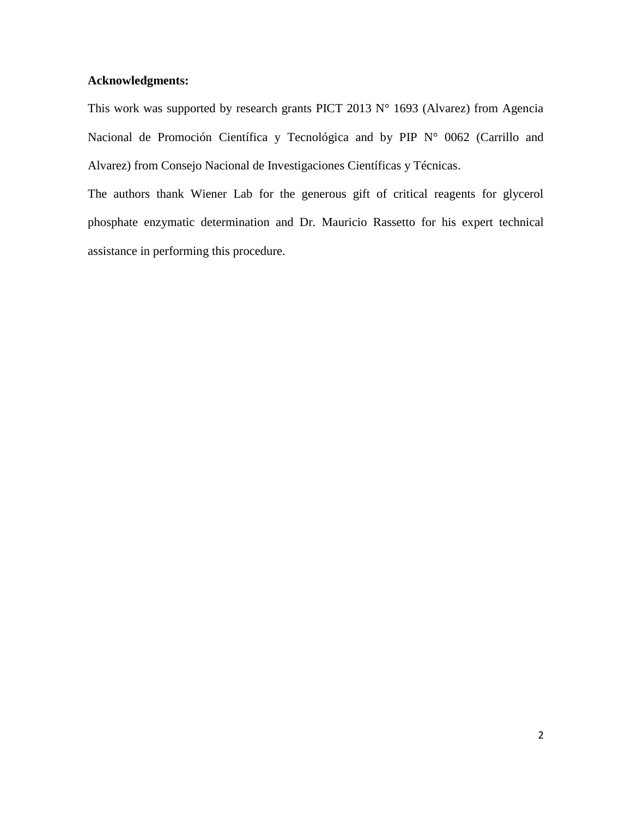## **Acknowledgments:**

This work was supported by research grants PICT 2013  $N^{\circ}$  1693 (Alvarez) from Agencia Nacional de Promoción Científica y Tecnológica and by PIP N° 0062 (Carrillo and Alvarez) from Consejo Nacional de Investigaciones Científicas y Técnicas.

The authors thank Wiener Lab for the generous gift of critical reagents for glycerol phosphate enzymatic determination and Dr. Mauricio Rassetto for his expert technical assistance in performing this procedure.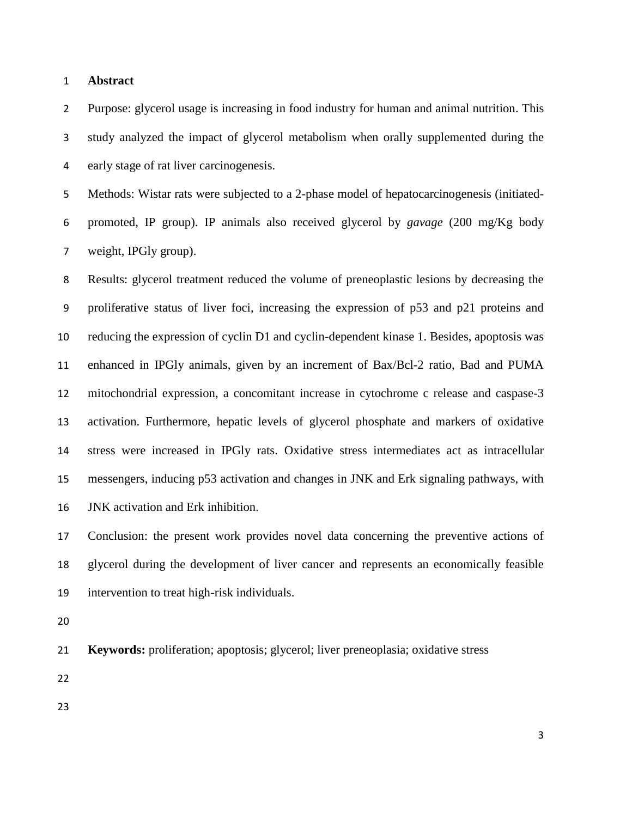## **Abstract**

 Purpose: glycerol usage is increasing in food industry for human and animal nutrition. This study analyzed the impact of glycerol metabolism when orally supplemented during the early stage of rat liver carcinogenesis.

 Methods: Wistar rats were subjected to a 2-phase model of hepatocarcinogenesis (initiated- promoted, IP group). IP animals also received glycerol by *gavage* (200 mg/Kg body weight, IPGly group).

 Results: glycerol treatment reduced the volume of preneoplastic lesions by decreasing the proliferative status of liver foci, increasing the expression of p53 and p21 proteins and reducing the expression of cyclin D1 and cyclin-dependent kinase 1. Besides, apoptosis was enhanced in IPGly animals, given by an increment of Bax/Bcl-2 ratio, Bad and PUMA mitochondrial expression, a concomitant increase in cytochrome c release and caspase-3 activation. Furthermore, hepatic levels of glycerol phosphate and markers of oxidative stress were increased in IPGly rats. Oxidative stress intermediates act as intracellular messengers, inducing p53 activation and changes in JNK and Erk signaling pathways, with JNK activation and Erk inhibition.

 Conclusion: the present work provides novel data concerning the preventive actions of glycerol during the development of liver cancer and represents an economically feasible intervention to treat high-risk individuals.

**Keywords:** proliferation; apoptosis; glycerol; liver preneoplasia; oxidative stress

- 
-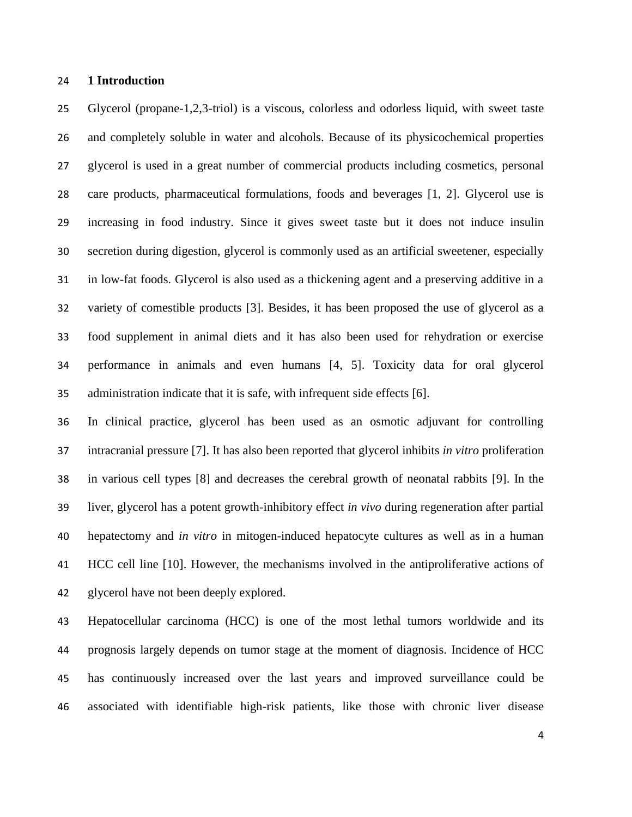## **1 Introduction**

 Glycerol (propane-1,2,3-triol) is a viscous, colorless and odorless liquid, with sweet taste and completely soluble in water and alcohols. Because of its physicochemical properties glycerol is used in a great number of commercial products including cosmetics, personal care products, pharmaceutical formulations, foods and beverages [1, 2]. Glycerol use is increasing in food industry. Since it gives sweet taste but it does not induce insulin secretion during digestion, glycerol is commonly used as an artificial sweetener, especially in low-fat foods. Glycerol is also used as a thickening agent and a preserving additive in a variety of comestible products [3]. Besides, it has been proposed the use of glycerol as a food supplement in animal diets and it has also been used for rehydration or exercise performance in animals and even humans [4, 5]. Toxicity data for oral glycerol administration indicate that it is safe, with infrequent side effects [6].

 In clinical practice, glycerol has been used as an osmotic adjuvant for controlling intracranial pressure [7]. It has also been reported that glycerol inhibits *in vitro* proliferation in various cell types [8] and decreases the cerebral growth of neonatal rabbits [9]. In the liver, glycerol has a potent growth-inhibitory effect *in vivo* during regeneration after partial hepatectomy and *in vitro* in mitogen-induced hepatocyte cultures as well as in a human HCC cell line [10]. However, the mechanisms involved in the antiproliferative actions of glycerol have not been deeply explored.

 Hepatocellular carcinoma (HCC) is one of the most lethal tumors worldwide and its prognosis largely depends on tumor stage at the moment of diagnosis. Incidence of HCC has continuously increased over the last years and improved surveillance could be associated with identifiable high-risk patients, like those with chronic liver disease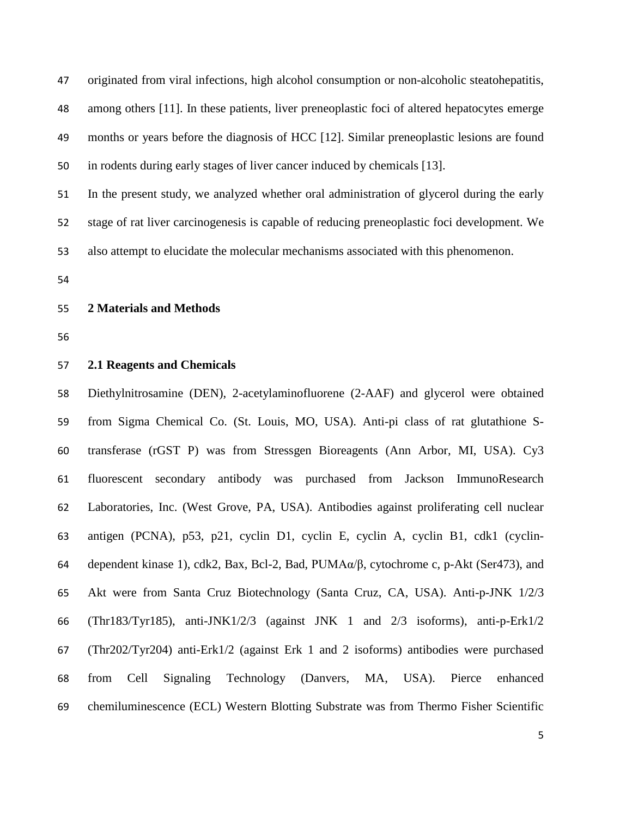originated from viral infections, high alcohol consumption or non-alcoholic steatohepatitis, among others [11]. In these patients, liver preneoplastic foci of altered hepatocytes emerge months or years before the diagnosis of HCC [12]. Similar preneoplastic lesions are found in rodents during early stages of liver cancer induced by chemicals [13]. In the present study, we analyzed whether oral administration of glycerol during the early

stage of rat liver carcinogenesis is capable of reducing preneoplastic foci development. We

also attempt to elucidate the molecular mechanisms associated with this phenomenon.

## **2 Materials and Methods**

#### **2.1 Reagents and Chemicals**

 Diethylnitrosamine (DEN), 2-acetylaminofluorene (2-AAF) and glycerol were obtained from Sigma Chemical Co. (St. Louis, MO, USA). Anti-pi class of rat glutathione S- transferase (rGST P) was from Stressgen Bioreagents (Ann Arbor, MI, USA). Cy3 fluorescent secondary antibody was purchased from Jackson ImmunoResearch Laboratories, Inc. (West Grove, PA, USA). Antibodies against proliferating cell nuclear antigen (PCNA), p53, p21, cyclin D1, cyclin E, cyclin A, cyclin B1, cdk1 (cyclin- dependent kinase 1), cdk2, Bax, Bcl-2, Bad, PUMAα/β, cytochrome c, p-Akt (Ser473), and Akt were from Santa Cruz Biotechnology (Santa Cruz, CA, USA). Anti-p-JNK 1/2/3 (Thr183/Tyr185), anti-JNK1/2/3 (against JNK 1 and 2/3 isoforms), anti-p-Erk1/2 (Thr202/Tyr204) anti-Erk1/2 (against Erk 1 and 2 isoforms) antibodies were purchased from Cell Signaling Technology (Danvers, MA, USA). Pierce enhanced chemiluminescence (ECL) Western Blotting Substrate was from Thermo Fisher Scientific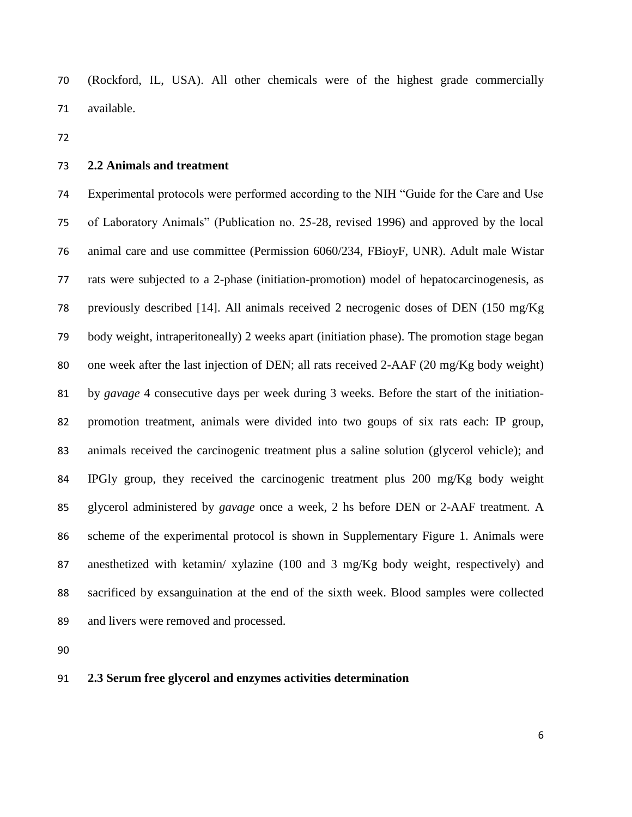(Rockford, IL, USA). All other chemicals were of the highest grade commercially available.

## **2.2 Animals and treatment**

 Experimental protocols were performed according to the NIH "Guide for the Care and Use of Laboratory Animals" (Publication no. 25-28, revised 1996) and approved by the local animal care and use committee (Permission 6060/234, FBioyF, UNR). Adult male Wistar rats were subjected to a 2-phase (initiation-promotion) model of hepatocarcinogenesis, as previously described [14]. All animals received 2 necrogenic doses of DEN (150 mg/Kg body weight, intraperitoneally) 2 weeks apart (initiation phase). The promotion stage began one week after the last injection of DEN; all rats received 2-AAF (20 mg/Kg body weight) by *gavage* 4 consecutive days per week during 3 weeks. Before the start of the initiation- promotion treatment, animals were divided into two goups of six rats each: IP group, animals received the carcinogenic treatment plus a saline solution (glycerol vehicle); and IPGly group, they received the carcinogenic treatment plus 200 mg/Kg body weight glycerol administered by *gavage* once a week, 2 hs before DEN or 2-AAF treatment. A scheme of the experimental protocol is shown in Supplementary Figure 1. Animals were anesthetized with ketamin/ xylazine (100 and 3 mg/Kg body weight, respectively) and sacrificed by exsanguination at the end of the sixth week. Blood samples were collected and livers were removed and processed.

## **2.3 Serum free glycerol and enzymes activities determination**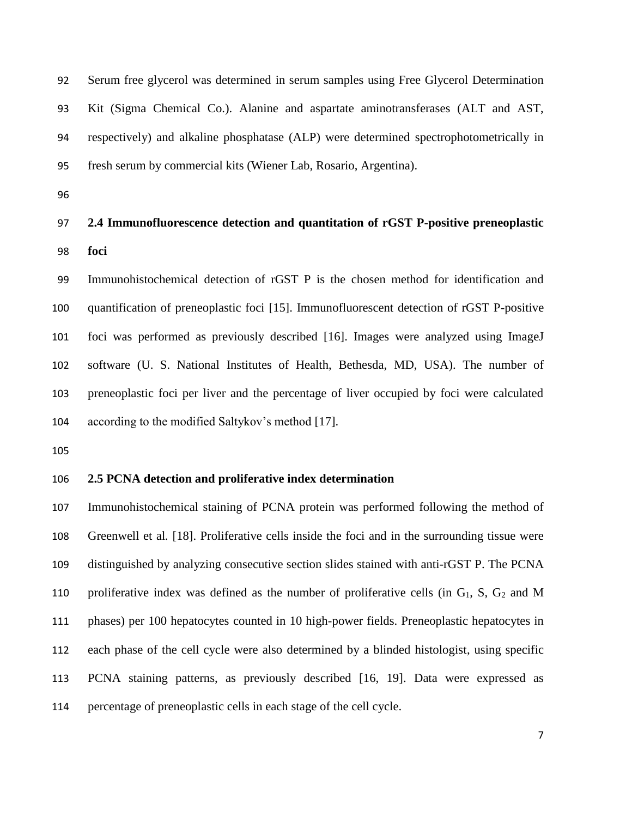Serum free glycerol was determined in serum samples using Free Glycerol Determination Kit (Sigma Chemical Co.). Alanine and aspartate aminotransferases (ALT and AST, respectively) and alkaline phosphatase (ALP) were determined spectrophotometrically in fresh serum by commercial kits (Wiener Lab, Rosario, Argentina).

# **2.4 Immunofluorescence detection and quantitation of rGST P-positive preneoplastic foci**

 Immunohistochemical detection of rGST P is the chosen method for identification and quantification of preneoplastic foci [15]. Immunofluorescent detection of rGST P-positive foci was performed as previously described [16]. Images were analyzed using ImageJ software (U. S. National Institutes of Health, Bethesda, MD, USA). The number of preneoplastic foci per liver and the percentage of liver occupied by foci were calculated according to the modified Saltykov's method [17].

#### **2.5 PCNA detection and proliferative index determination**

 Immunohistochemical staining of PCNA protein was performed following the method of Greenwell et al*.* [18]. Proliferative cells inside the foci and in the surrounding tissue were distinguished by analyzing consecutive section slides stained with anti-rGST P. The PCNA 110 proliferative index was defined as the number of proliferative cells (in  $G_1$ , S,  $G_2$  and M phases) per 100 hepatocytes counted in 10 high-power fields. Preneoplastic hepatocytes in each phase of the cell cycle were also determined by a blinded histologist, using specific PCNA staining patterns, as previously described [16, 19]. Data were expressed as percentage of preneoplastic cells in each stage of the cell cycle.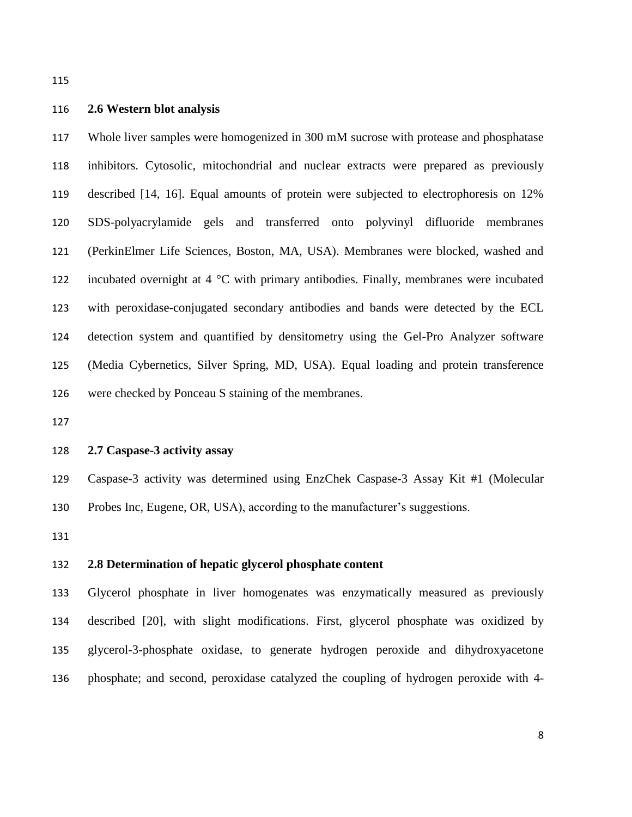## **2.6 Western blot analysis**

 Whole liver samples were homogenized in 300 mM sucrose with protease and phosphatase inhibitors. Cytosolic, mitochondrial and nuclear extracts were prepared as previously described [14, 16]. Equal amounts of protein were subjected to electrophoresis on 12% SDS-polyacrylamide gels and transferred onto polyvinyl difluoride membranes (PerkinElmer Life Sciences, Boston, MA, USA). Membranes were blocked, washed and incubated overnight at 4 °C with primary antibodies. Finally, membranes were incubated with peroxidase-conjugated secondary antibodies and bands were detected by the ECL detection system and quantified by densitometry using the Gel-Pro Analyzer software (Media Cybernetics, Silver Spring, MD, USA). Equal loading and protein transference were checked by Ponceau S staining of the membranes.

## **2.7 Caspase-3 activity assay**

 Caspase-3 activity was determined using EnzChek Caspase-3 Assay Kit #1 (Molecular Probes Inc, Eugene, OR, USA), according to the manufacturer's suggestions.

## **2.8 Determination of hepatic glycerol phosphate content**

 Glycerol phosphate in liver homogenates was enzymatically measured as previously described [20], with slight modifications. First, glycerol phosphate was oxidized by glycerol-3-phosphate oxidase, to generate hydrogen peroxide and dihydroxyacetone phosphate; and second, peroxidase catalyzed the coupling of hydrogen peroxide with 4-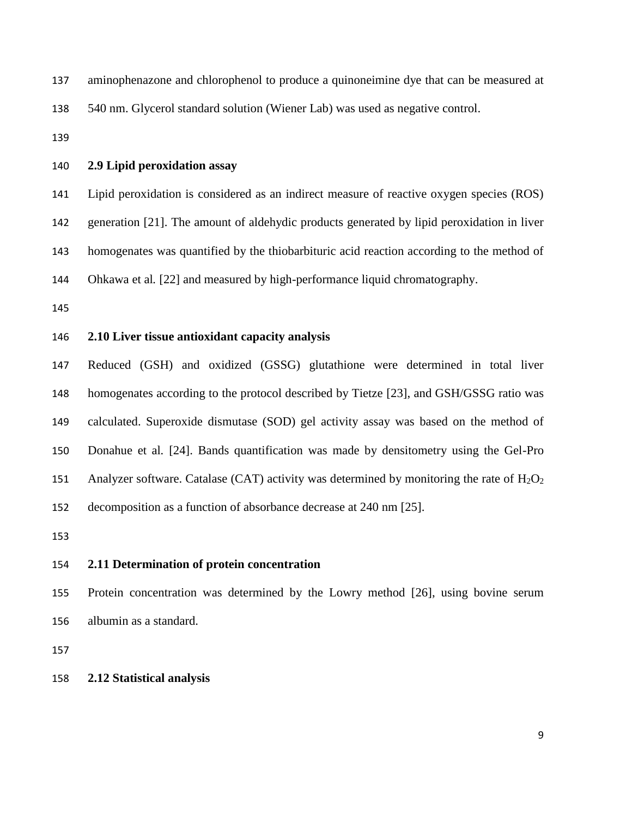| 137 | aminophenazone and chlorophenol to produce a quinoneimine dye that can be measured at |
|-----|---------------------------------------------------------------------------------------|
| 138 | 540 nm. Glycerol standard solution (Wiener Lab) was used as negative control.         |

## **2.9 Lipid peroxidation assay**

Lipid peroxidation is considered as an indirect measure of reactive oxygen species (ROS)

generation [21]. The amount of aldehydic products generated by lipid peroxidation in liver

homogenates was quantified by the thiobarbituric acid reaction according to the method of

Ohkawa et al*.* [22] and measured by high-performance liquid chromatography.

## **2.10 Liver tissue antioxidant capacity analysis**

 Reduced (GSH) and oxidized (GSSG) glutathione were determined in total liver homogenates according to the protocol described by Tietze [23], and GSH/GSSG ratio was calculated. Superoxide dismutase (SOD) gel activity assay was based on the method of Donahue et al*.* [24]. Bands quantification was made by densitometry using the Gel-Pro 151 Analyzer software. Catalase (CAT) activity was determined by monitoring the rate of  $H_2O_2$ decomposition as a function of absorbance decrease at 240 nm [25].

#### **2.11 Determination of protein concentration**

 Protein concentration was determined by the Lowry method [26], using bovine serum albumin as a standard.

## **2.12 Statistical analysis**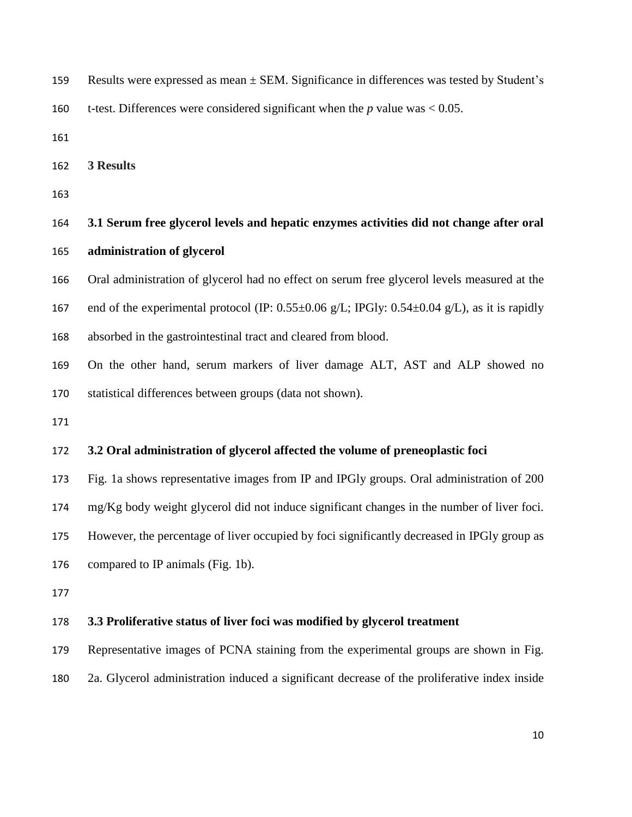- Results were expressed as mean ± SEM. Significance in differences was tested by Student's
- t-test. Differences were considered significant when the *p* value was < 0.05.
- 
- **3 Results**
- 
- **3.1 Serum free glycerol levels and hepatic enzymes activities did not change after oral administration of glycerol**
- Oral administration of glycerol had no effect on serum free glycerol levels measured at the
- 167 end of the experimental protocol (IP:  $0.55\pm0.06$  g/L; IPGly:  $0.54\pm0.04$  g/L), as it is rapidly
- absorbed in the gastrointestinal tract and cleared from blood.
- On the other hand, serum markers of liver damage ALT, AST and ALP showed no statistical differences between groups (data not shown).
- 

## **3.2 Oral administration of glycerol affected the volume of preneoplastic foci**

Fig. 1a shows representative images from IP and IPGly groups. Oral administration of 200

mg/Kg body weight glycerol did not induce significant changes in the number of liver foci.

However, the percentage of liver occupied by foci significantly decreased in IPGly group as

compared to IP animals (Fig. 1b).

#### **3.3 Proliferative status of liver foci was modified by glycerol treatment**

- Representative images of PCNA staining from the experimental groups are shown in Fig.
- 2a. Glycerol administration induced a significant decrease of the proliferative index inside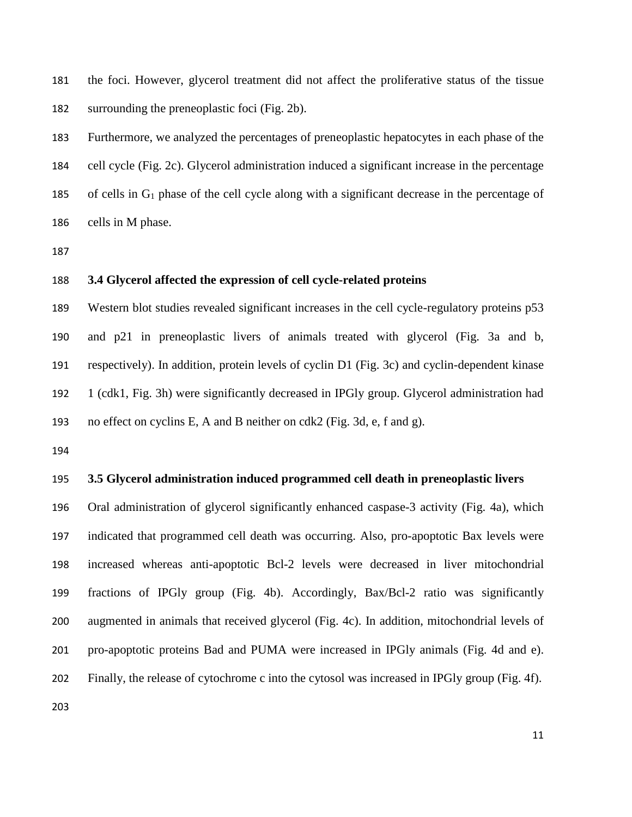the foci. However, glycerol treatment did not affect the proliferative status of the tissue surrounding the preneoplastic foci (Fig. 2b).

 Furthermore, we analyzed the percentages of preneoplastic hepatocytes in each phase of the cell cycle (Fig. 2c). Glycerol administration induced a significant increase in the percentage 185 of cells in  $G_1$  phase of the cell cycle along with a significant decrease in the percentage of cells in M phase.

# **3.4 Glycerol affected the expression of cell cycle-related proteins**

 Western blot studies revealed significant increases in the cell cycle-regulatory proteins p53 and p21 in preneoplastic livers of animals treated with glycerol (Fig. 3a and b, respectively). In addition, protein levels of cyclin D1 (Fig. 3c) and cyclin-dependent kinase 1 (cdk1, Fig. 3h) were significantly decreased in IPGly group. Glycerol administration had no effect on cyclins E, A and B neither on cdk2 (Fig. 3d, e, f and g).

## **3.5 Glycerol administration induced programmed cell death in preneoplastic livers**

 Oral administration of glycerol significantly enhanced caspase-3 activity (Fig. 4a), which indicated that programmed cell death was occurring. Also, pro-apoptotic Bax levels were increased whereas anti-apoptotic Bcl-2 levels were decreased in liver mitochondrial fractions of IPGly group (Fig. 4b). Accordingly, Bax/Bcl-2 ratio was significantly augmented in animals that received glycerol (Fig. 4c). In addition, mitochondrial levels of pro-apoptotic proteins Bad and PUMA were increased in IPGly animals (Fig. 4d and e). Finally, the release of cytochrome c into the cytosol was increased in IPGly group (Fig. 4f).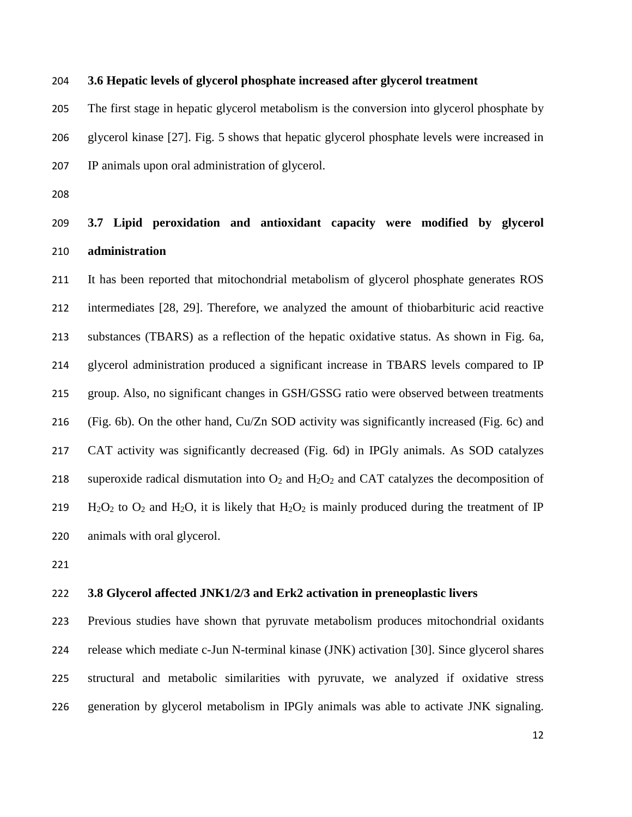### **3.6 Hepatic levels of glycerol phosphate increased after glycerol treatment**

 The first stage in hepatic glycerol metabolism is the conversion into glycerol phosphate by glycerol kinase [27]. Fig. 5 shows that hepatic glycerol phosphate levels were increased in IP animals upon oral administration of glycerol.

# **3.7 Lipid peroxidation and antioxidant capacity were modified by glycerol administration**

 It has been reported that mitochondrial metabolism of glycerol phosphate generates ROS intermediates [28, 29]. Therefore, we analyzed the amount of thiobarbituric acid reactive substances (TBARS) as a reflection of the hepatic oxidative status. As shown in Fig. 6a, glycerol administration produced a significant increase in TBARS levels compared to IP group. Also, no significant changes in GSH/GSSG ratio were observed between treatments (Fig. 6b). On the other hand, Cu/Zn SOD activity was significantly increased (Fig. 6c) and CAT activity was significantly decreased (Fig. 6d) in IPGly animals. As SOD catalyzes 218 superoxide radical dismutation into  $O_2$  and  $H_2O_2$  and CAT catalyzes the decomposition of 219 H<sub>2</sub>O<sub>2</sub> to O<sub>2</sub> and H<sub>2</sub>O, it is likely that H<sub>2</sub>O<sub>2</sub> is mainly produced during the treatment of IP animals with oral glycerol.

# **3.8 Glycerol affected JNK1/2/3 and Erk2 activation in preneoplastic livers**

 Previous studies have shown that pyruvate metabolism produces mitochondrial oxidants release which mediate c-Jun N-terminal kinase (JNK) activation [30]. Since glycerol shares structural and metabolic similarities with pyruvate, we analyzed if oxidative stress generation by glycerol metabolism in IPGly animals was able to activate JNK signaling.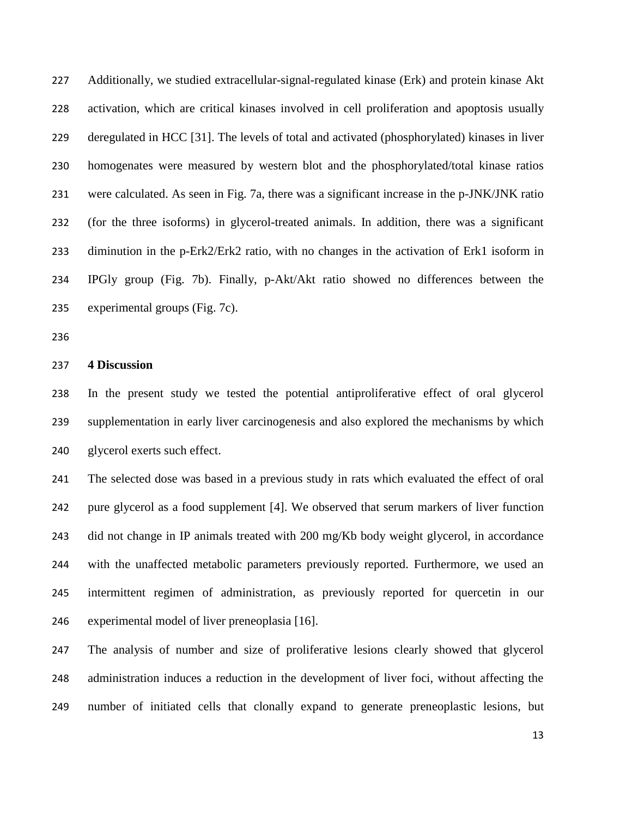Additionally, we studied extracellular-signal-regulated kinase (Erk) and protein kinase Akt activation, which are critical kinases involved in cell proliferation and apoptosis usually deregulated in HCC [31]. The levels of total and activated (phosphorylated) kinases in liver homogenates were measured by western blot and the phosphorylated/total kinase ratios were calculated. As seen in Fig. 7a, there was a significant increase in the p-JNK/JNK ratio (for the three isoforms) in glycerol-treated animals. In addition, there was a significant diminution in the p-Erk2/Erk2 ratio, with no changes in the activation of Erk1 isoform in IPGly group (Fig. 7b). Finally, p-Akt/Akt ratio showed no differences between the experimental groups (Fig. 7c).

#### **4 Discussion**

 In the present study we tested the potential antiproliferative effect of oral glycerol supplementation in early liver carcinogenesis and also explored the mechanisms by which glycerol exerts such effect.

 The selected dose was based in a previous study in rats which evaluated the effect of oral pure glycerol as a food supplement [4]. We observed that serum markers of liver function did not change in IP animals treated with 200 mg/Kb body weight glycerol, in accordance with the unaffected metabolic parameters previously reported. Furthermore, we used an intermittent regimen of administration, as previously reported for quercetin in our experimental model of liver preneoplasia [16].

 The analysis of number and size of proliferative lesions clearly showed that glycerol administration induces a reduction in the development of liver foci, without affecting the number of initiated cells that clonally expand to generate preneoplastic lesions, but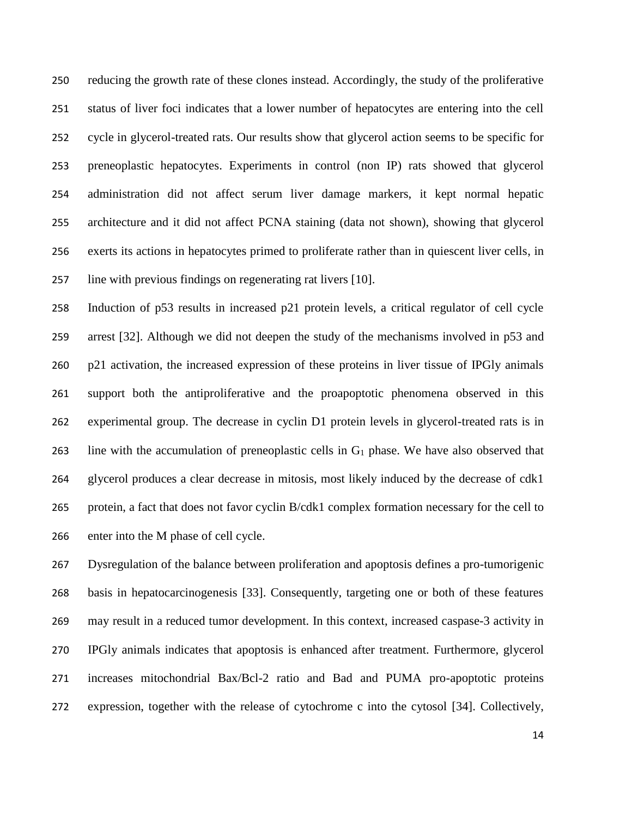reducing the growth rate of these clones instead. Accordingly, the study of the proliferative status of liver foci indicates that a lower number of hepatocytes are entering into the cell cycle in glycerol-treated rats. Our results show that glycerol action seems to be specific for preneoplastic hepatocytes. Experiments in control (non IP) rats showed that glycerol administration did not affect serum liver damage markers, it kept normal hepatic architecture and it did not affect PCNA staining (data not shown), showing that glycerol exerts its actions in hepatocytes primed to proliferate rather than in quiescent liver cells, in line with previous findings on regenerating rat livers [10].

 Induction of p53 results in increased p21 protein levels, a critical regulator of cell cycle arrest [32]. Although we did not deepen the study of the mechanisms involved in p53 and p21 activation, the increased expression of these proteins in liver tissue of IPGly animals support both the antiproliferative and the proapoptotic phenomena observed in this experimental group. The decrease in cyclin D1 protein levels in glycerol-treated rats is in line with the accumulation of preneoplastic cells in G<sup>1</sup> phase. We have also observed that glycerol produces a clear decrease in mitosis, most likely induced by the decrease of cdk1 protein, a fact that does not favor cyclin B/cdk1 complex formation necessary for the cell to enter into the M phase of cell cycle.

 Dysregulation of the balance between proliferation and apoptosis defines a pro-tumorigenic basis in hepatocarcinogenesis [33]. Consequently, targeting one or both of these features may result in a reduced tumor development. In this context, increased caspase-3 activity in IPGly animals indicates that apoptosis is enhanced after treatment. Furthermore, glycerol increases mitochondrial Bax/Bcl-2 ratio and Bad and PUMA pro-apoptotic proteins expression, together with the release of cytochrome c into the cytosol [34]. Collectively,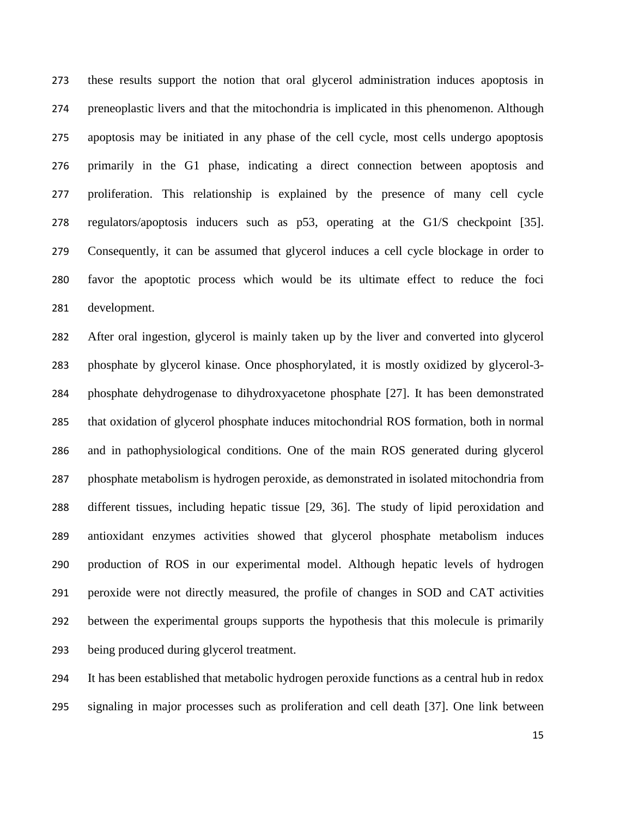these results support the notion that oral glycerol administration induces apoptosis in preneoplastic livers and that the mitochondria is implicated in this phenomenon. Although apoptosis may be initiated in any phase of the cell cycle, most cells undergo apoptosis primarily in the G1 phase, indicating a direct connection between apoptosis and proliferation. This relationship is explained by the presence of many cell cycle regulators/apoptosis inducers such as p53, operating at the G1/S checkpoint [35]. Consequently, it can be assumed that glycerol induces a cell cycle blockage in order to favor the apoptotic process which would be its ultimate effect to reduce the foci development.

 After oral ingestion, glycerol is mainly taken up by the liver and converted into glycerol phosphate by glycerol kinase. Once phosphorylated, it is mostly oxidized by glycerol-3- phosphate dehydrogenase to dihydroxyacetone phosphate [27]. It has been demonstrated that oxidation of glycerol phosphate induces mitochondrial ROS formation, both in normal and in pathophysiological conditions. One of the main ROS generated during glycerol phosphate metabolism is hydrogen peroxide, as demonstrated in isolated mitochondria from different tissues, including hepatic tissue [29, 36]. The study of lipid peroxidation and antioxidant enzymes activities showed that glycerol phosphate metabolism induces production of ROS in our experimental model. Although hepatic levels of hydrogen peroxide were not directly measured, the profile of changes in SOD and CAT activities between the experimental groups supports the hypothesis that this molecule is primarily being produced during glycerol treatment.

 It has been established that metabolic hydrogen peroxide functions as a central hub in redox signaling in major processes such as proliferation and cell death [37]. One link between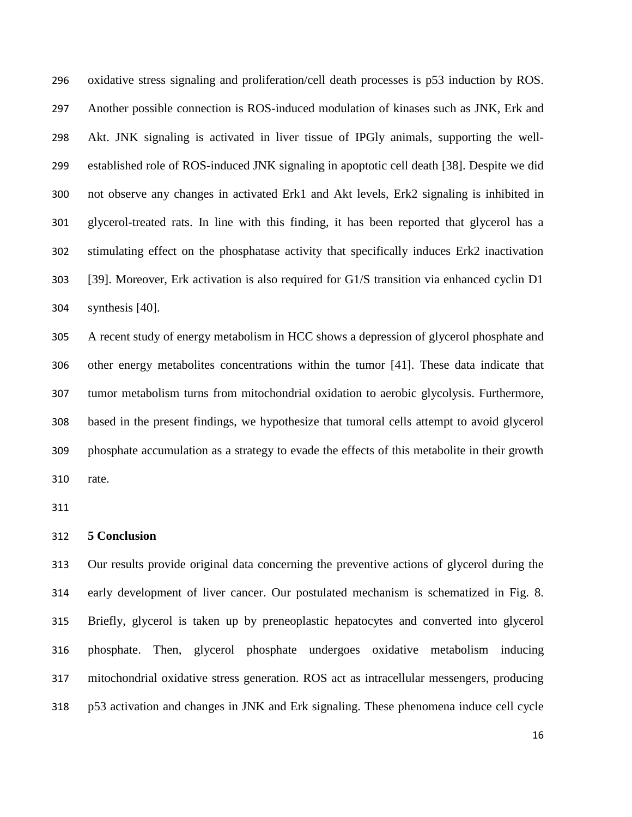oxidative stress signaling and proliferation/cell death processes is p53 induction by ROS. Another possible connection is ROS-induced modulation of kinases such as JNK, Erk and Akt. JNK signaling is activated in liver tissue of IPGly animals, supporting the well- established role of ROS-induced JNK signaling in apoptotic cell death [38]. Despite we did not observe any changes in activated Erk1 and Akt levels, Erk2 signaling is inhibited in glycerol-treated rats. In line with this finding, it has been reported that glycerol has a stimulating effect on the phosphatase activity that specifically induces Erk2 inactivation [39]. Moreover, Erk activation is also required for G1/S transition via enhanced cyclin D1 synthesis [40].

 A recent study of energy metabolism in HCC shows a depression of glycerol phosphate and other energy metabolites concentrations within the tumor [41]. These data indicate that tumor metabolism turns from mitochondrial oxidation to aerobic glycolysis. Furthermore, based in the present findings, we hypothesize that tumoral cells attempt to avoid glycerol phosphate accumulation as a strategy to evade the effects of this metabolite in their growth rate.

# **5 Conclusion**

 Our results provide original data concerning the preventive actions of glycerol during the early development of liver cancer. Our postulated mechanism is schematized in Fig. 8. Briefly, glycerol is taken up by preneoplastic hepatocytes and converted into glycerol phosphate. Then, glycerol phosphate undergoes oxidative metabolism inducing mitochondrial oxidative stress generation. ROS act as intracellular messengers, producing p53 activation and changes in JNK and Erk signaling. These phenomena induce cell cycle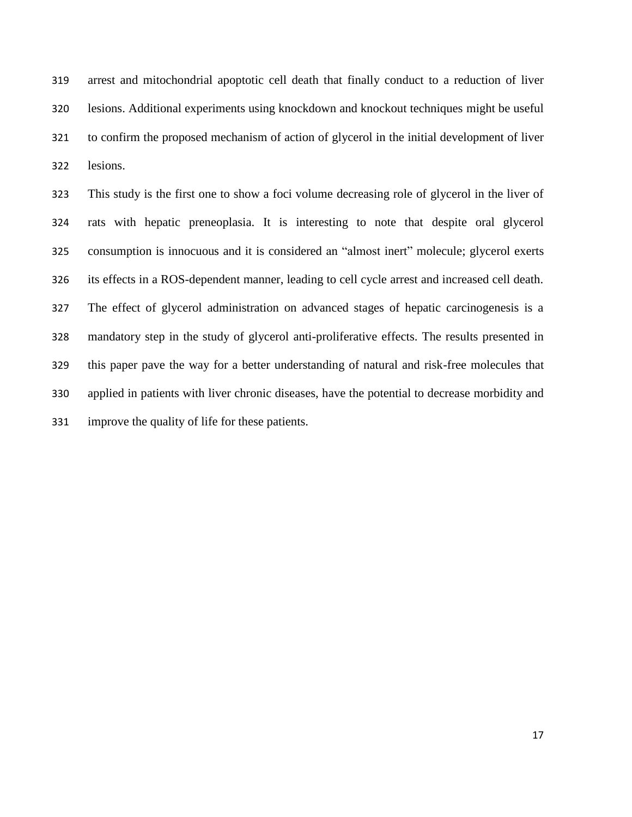arrest and mitochondrial apoptotic cell death that finally conduct to a reduction of liver lesions. Additional experiments using knockdown and knockout techniques might be useful to confirm the proposed mechanism of action of glycerol in the initial development of liver lesions.

 This study is the first one to show a foci volume decreasing role of glycerol in the liver of rats with hepatic preneoplasia. It is interesting to note that despite oral glycerol consumption is innocuous and it is considered an "almost inert" molecule; glycerol exerts its effects in a ROS-dependent manner, leading to cell cycle arrest and increased cell death. The effect of glycerol administration on advanced stages of hepatic carcinogenesis is a mandatory step in the study of glycerol anti-proliferative effects. The results presented in this paper pave the way for a better understanding of natural and risk-free molecules that applied in patients with liver chronic diseases, have the potential to decrease morbidity and improve the quality of life for these patients.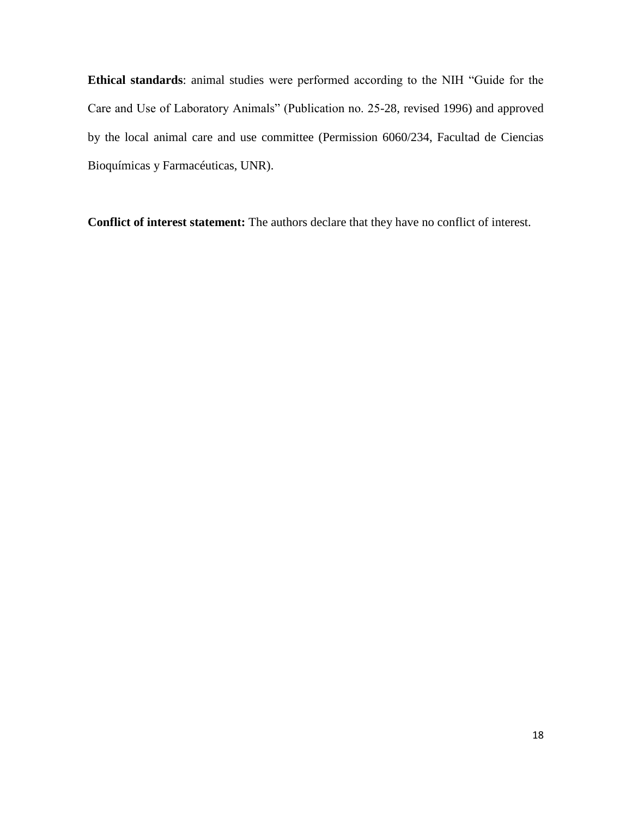**Ethical standards**: animal studies were performed according to the NIH "Guide for the Care and Use of Laboratory Animals" (Publication no. 25-28, revised 1996) and approved by the local animal care and use committee (Permission 6060/234, Facultad de Ciencias Bioquímicas y Farmacéuticas, UNR).

**Conflict of interest statement:** The authors declare that they have no conflict of interest.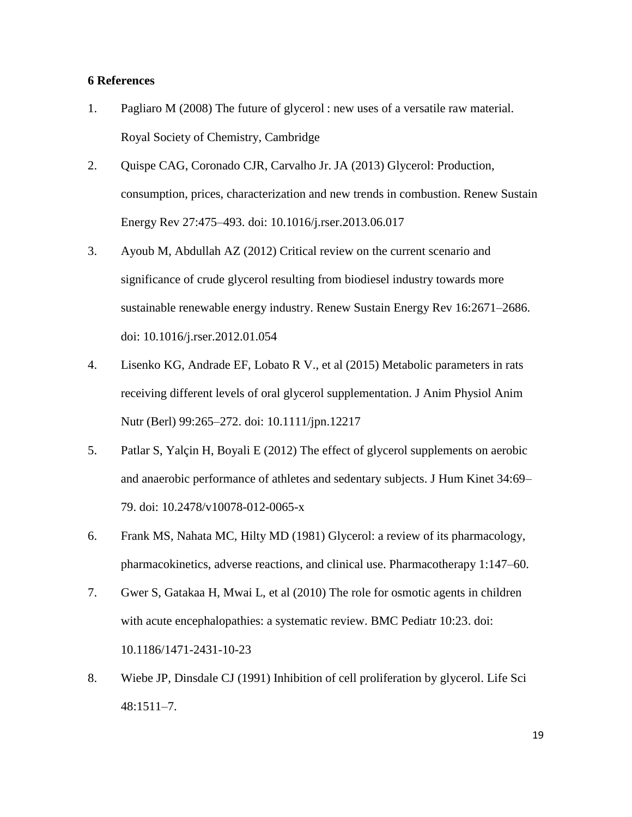## **6 References**

- 1. Pagliaro M (2008) The future of glycerol : new uses of a versatile raw material. Royal Society of Chemistry, Cambridge
- 2. Quispe CAG, Coronado CJR, Carvalho Jr. JA (2013) Glycerol: Production, consumption, prices, characterization and new trends in combustion. Renew Sustain Energy Rev 27:475–493. doi: 10.1016/j.rser.2013.06.017
- 3. Ayoub M, Abdullah AZ (2012) Critical review on the current scenario and significance of crude glycerol resulting from biodiesel industry towards more sustainable renewable energy industry. Renew Sustain Energy Rev 16:2671–2686. doi: 10.1016/j.rser.2012.01.054
- 4. Lisenko KG, Andrade EF, Lobato R V., et al (2015) Metabolic parameters in rats receiving different levels of oral glycerol supplementation. J Anim Physiol Anim Nutr (Berl) 99:265–272. doi: 10.1111/jpn.12217
- 5. Patlar S, Yalçin H, Boyali E (2012) The effect of glycerol supplements on aerobic and anaerobic performance of athletes and sedentary subjects. J Hum Kinet 34:69– 79. doi: 10.2478/v10078-012-0065-x
- 6. Frank MS, Nahata MC, Hilty MD (1981) Glycerol: a review of its pharmacology, pharmacokinetics, adverse reactions, and clinical use. Pharmacotherapy 1:147–60.
- 7. Gwer S, Gatakaa H, Mwai L, et al (2010) The role for osmotic agents in children with acute encephalopathies: a systematic review. BMC Pediatr 10:23. doi: 10.1186/1471-2431-10-23
- 8. Wiebe JP, Dinsdale CJ (1991) Inhibition of cell proliferation by glycerol. Life Sci 48:1511–7.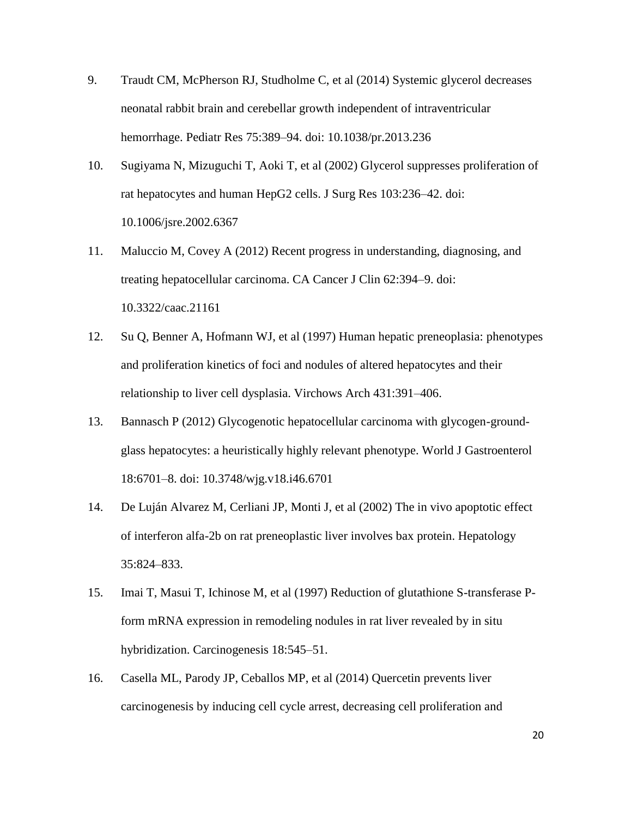- 9. Traudt CM, McPherson RJ, Studholme C, et al (2014) Systemic glycerol decreases neonatal rabbit brain and cerebellar growth independent of intraventricular hemorrhage. Pediatr Res 75:389–94. doi: 10.1038/pr.2013.236
- 10. Sugiyama N, Mizuguchi T, Aoki T, et al (2002) Glycerol suppresses proliferation of rat hepatocytes and human HepG2 cells. J Surg Res 103:236–42. doi: 10.1006/jsre.2002.6367
- 11. Maluccio M, Covey A (2012) Recent progress in understanding, diagnosing, and treating hepatocellular carcinoma. CA Cancer J Clin 62:394–9. doi: 10.3322/caac.21161
- 12. Su Q, Benner A, Hofmann WJ, et al (1997) Human hepatic preneoplasia: phenotypes and proliferation kinetics of foci and nodules of altered hepatocytes and their relationship to liver cell dysplasia. Virchows Arch 431:391–406.
- 13. Bannasch P (2012) Glycogenotic hepatocellular carcinoma with glycogen-groundglass hepatocytes: a heuristically highly relevant phenotype. World J Gastroenterol 18:6701–8. doi: 10.3748/wjg.v18.i46.6701
- 14. De Luján Alvarez M, Cerliani JP, Monti J, et al (2002) The in vivo apoptotic effect of interferon alfa-2b on rat preneoplastic liver involves bax protein. Hepatology 35:824–833.
- 15. Imai T, Masui T, Ichinose M, et al (1997) Reduction of glutathione S-transferase Pform mRNA expression in remodeling nodules in rat liver revealed by in situ hybridization. Carcinogenesis 18:545–51.
- 16. Casella ML, Parody JP, Ceballos MP, et al (2014) Quercetin prevents liver carcinogenesis by inducing cell cycle arrest, decreasing cell proliferation and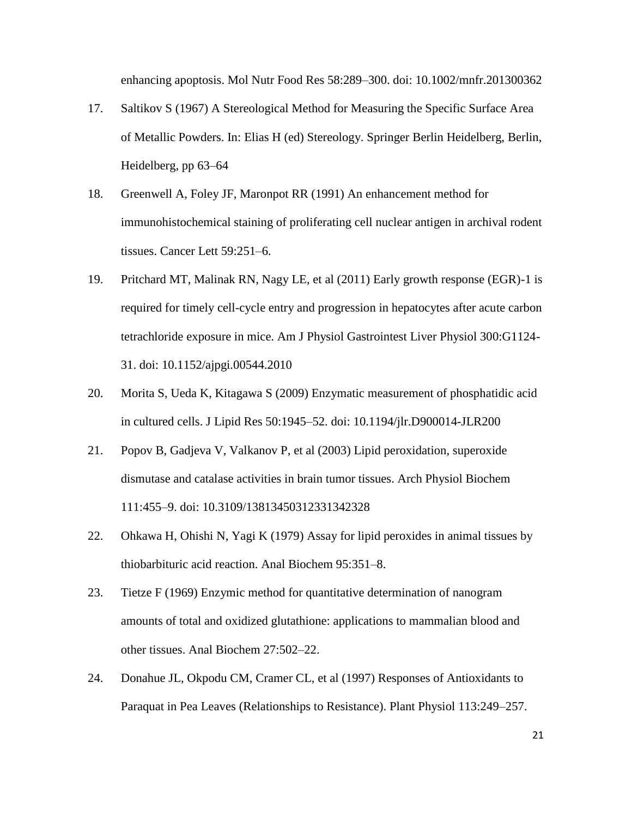enhancing apoptosis. Mol Nutr Food Res 58:289–300. doi: 10.1002/mnfr.201300362

- 17. Saltikov S (1967) A Stereological Method for Measuring the Specific Surface Area of Metallic Powders. In: Elias H (ed) Stereology. Springer Berlin Heidelberg, Berlin, Heidelberg, pp 63–64
- 18. Greenwell A, Foley JF, Maronpot RR (1991) An enhancement method for immunohistochemical staining of proliferating cell nuclear antigen in archival rodent tissues. Cancer Lett 59:251–6.
- 19. Pritchard MT, Malinak RN, Nagy LE, et al (2011) Early growth response (EGR)-1 is required for timely cell-cycle entry and progression in hepatocytes after acute carbon tetrachloride exposure in mice. Am J Physiol Gastrointest Liver Physiol 300:G1124- 31. doi: 10.1152/ajpgi.00544.2010
- 20. Morita S, Ueda K, Kitagawa S (2009) Enzymatic measurement of phosphatidic acid in cultured cells. J Lipid Res 50:1945–52. doi: 10.1194/jlr.D900014-JLR200
- 21. Popov B, Gadjeva V, Valkanov P, et al (2003) Lipid peroxidation, superoxide dismutase and catalase activities in brain tumor tissues. Arch Physiol Biochem 111:455–9. doi: 10.3109/13813450312331342328
- 22. Ohkawa H, Ohishi N, Yagi K (1979) Assay for lipid peroxides in animal tissues by thiobarbituric acid reaction. Anal Biochem 95:351–8.
- 23. Tietze F (1969) Enzymic method for quantitative determination of nanogram amounts of total and oxidized glutathione: applications to mammalian blood and other tissues. Anal Biochem 27:502–22.
- 24. Donahue JL, Okpodu CM, Cramer CL, et al (1997) Responses of Antioxidants to Paraquat in Pea Leaves (Relationships to Resistance). Plant Physiol 113:249–257.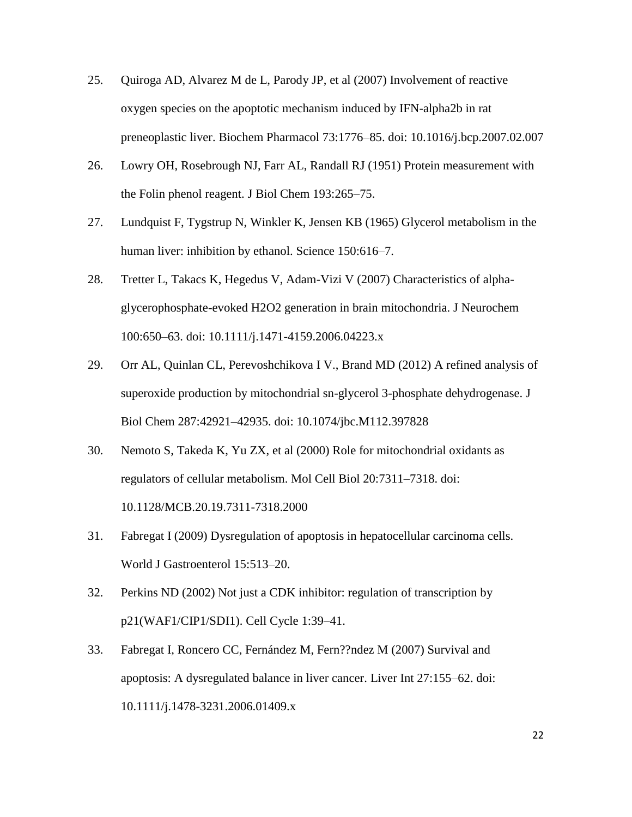- 25. Quiroga AD, Alvarez M de L, Parody JP, et al (2007) Involvement of reactive oxygen species on the apoptotic mechanism induced by IFN-alpha2b in rat preneoplastic liver. Biochem Pharmacol 73:1776–85. doi: 10.1016/j.bcp.2007.02.007
- 26. Lowry OH, Rosebrough NJ, Farr AL, Randall RJ (1951) Protein measurement with the Folin phenol reagent. J Biol Chem 193:265–75.
- 27. Lundquist F, Tygstrup N, Winkler K, Jensen KB (1965) Glycerol metabolism in the human liver: inhibition by ethanol. Science 150:616–7.
- 28. Tretter L, Takacs K, Hegedus V, Adam-Vizi V (2007) Characteristics of alphaglycerophosphate-evoked H2O2 generation in brain mitochondria. J Neurochem 100:650–63. doi: 10.1111/j.1471-4159.2006.04223.x
- 29. Orr AL, Quinlan CL, Perevoshchikova I V., Brand MD (2012) A refined analysis of superoxide production by mitochondrial sn-glycerol 3-phosphate dehydrogenase. J Biol Chem 287:42921–42935. doi: 10.1074/jbc.M112.397828
- 30. Nemoto S, Takeda K, Yu ZX, et al (2000) Role for mitochondrial oxidants as regulators of cellular metabolism. Mol Cell Biol 20:7311–7318. doi: 10.1128/MCB.20.19.7311-7318.2000
- 31. Fabregat I (2009) Dysregulation of apoptosis in hepatocellular carcinoma cells. World J Gastroenterol 15:513–20.
- 32. Perkins ND (2002) Not just a CDK inhibitor: regulation of transcription by p21(WAF1/CIP1/SDI1). Cell Cycle 1:39–41.
- 33. Fabregat I, Roncero CC, Fernández M, Fern??ndez M (2007) Survival and apoptosis: A dysregulated balance in liver cancer. Liver Int 27:155–62. doi: 10.1111/j.1478-3231.2006.01409.x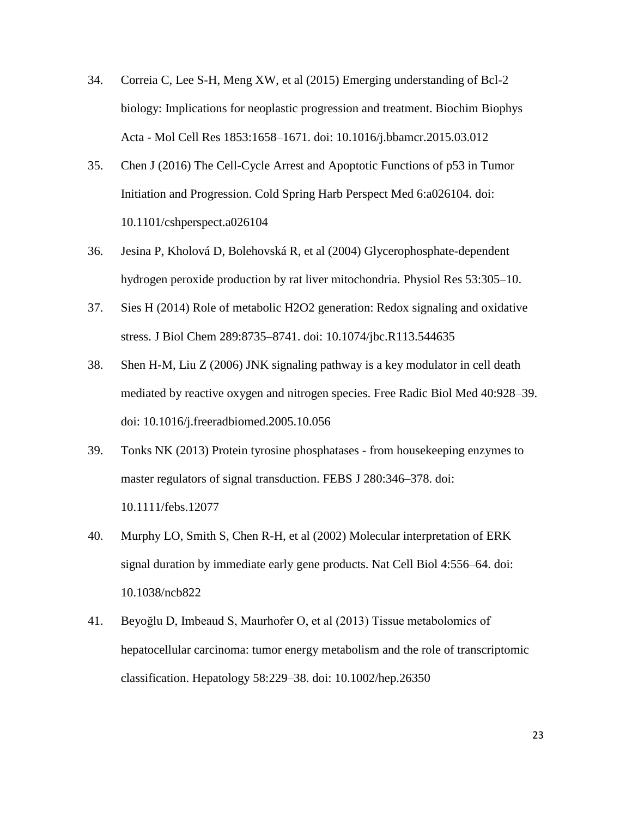- 34. Correia C, Lee S-H, Meng XW, et al (2015) Emerging understanding of Bcl-2 biology: Implications for neoplastic progression and treatment. Biochim Biophys Acta - Mol Cell Res 1853:1658–1671. doi: 10.1016/j.bbamcr.2015.03.012
- 35. Chen J (2016) The Cell-Cycle Arrest and Apoptotic Functions of p53 in Tumor Initiation and Progression. Cold Spring Harb Perspect Med 6:a026104. doi: 10.1101/cshperspect.a026104
- 36. Jesina P, Kholová D, Bolehovská R, et al (2004) Glycerophosphate-dependent hydrogen peroxide production by rat liver mitochondria. Physiol Res 53:305–10.
- 37. Sies H (2014) Role of metabolic H2O2 generation: Redox signaling and oxidative stress. J Biol Chem 289:8735–8741. doi: 10.1074/jbc.R113.544635
- 38. Shen H-M, Liu Z (2006) JNK signaling pathway is a key modulator in cell death mediated by reactive oxygen and nitrogen species. Free Radic Biol Med 40:928–39. doi: 10.1016/j.freeradbiomed.2005.10.056
- 39. Tonks NK (2013) Protein tyrosine phosphatases from housekeeping enzymes to master regulators of signal transduction. FEBS J 280:346–378. doi: 10.1111/febs.12077
- 40. Murphy LO, Smith S, Chen R-H, et al (2002) Molecular interpretation of ERK signal duration by immediate early gene products. Nat Cell Biol 4:556–64. doi: 10.1038/ncb822
- 41. Beyoğlu D, Imbeaud S, Maurhofer O, et al (2013) Tissue metabolomics of hepatocellular carcinoma: tumor energy metabolism and the role of transcriptomic classification. Hepatology 58:229–38. doi: 10.1002/hep.26350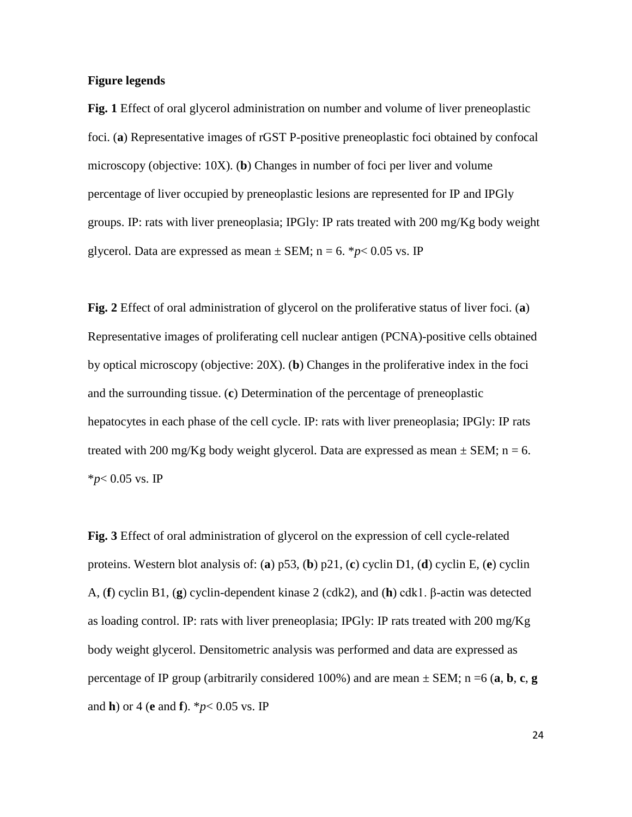#### **Figure legends**

**Fig. 1** Effect of oral glycerol administration on number and volume of liver preneoplastic foci. (**a**) Representative images of rGST P-positive preneoplastic foci obtained by confocal microscopy (objective: 10X). (**b**) Changes in number of foci per liver and volume percentage of liver occupied by preneoplastic lesions are represented for IP and IPGly groups. IP: rats with liver preneoplasia; IPGly: IP rats treated with 200 mg/Kg body weight glycerol. Data are expressed as mean  $\pm$  SEM; n = 6. \**p*< 0.05 vs. IP

**Fig. 2** Effect of oral administration of glycerol on the proliferative status of liver foci. (**a**) Representative images of proliferating cell nuclear antigen (PCNA)-positive cells obtained by optical microscopy (objective: 20X). (**b**) Changes in the proliferative index in the foci and the surrounding tissue. (**c**) Determination of the percentage of preneoplastic hepatocytes in each phase of the cell cycle. IP: rats with liver preneoplasia; IPGly: IP rats treated with 200 mg/Kg body weight glycerol. Data are expressed as mean  $\pm$  SEM; n = 6. \**p*< 0.05 vs. IP

**Fig. 3** Effect of oral administration of glycerol on the expression of cell cycle-related proteins. Western blot analysis of: (**a**) p53, (**b**) p21, (**c**) cyclin D1, (**d**) cyclin E, (**e**) cyclin A, (**f**) cyclin B1, (**g**) cyclin-dependent kinase 2 (cdk2), and (**h**) cdk1. β-actin was detected as loading control. IP: rats with liver preneoplasia; IPGly: IP rats treated with 200 mg/Kg body weight glycerol. Densitometric analysis was performed and data are expressed as percentage of IP group (arbitrarily considered 100%) and are mean  $\pm$  SEM; n =6 (**a**, **b**, **c**, **g** and **h**) or 4 (**e** and **f**). \**p*< 0.05 vs. IP

24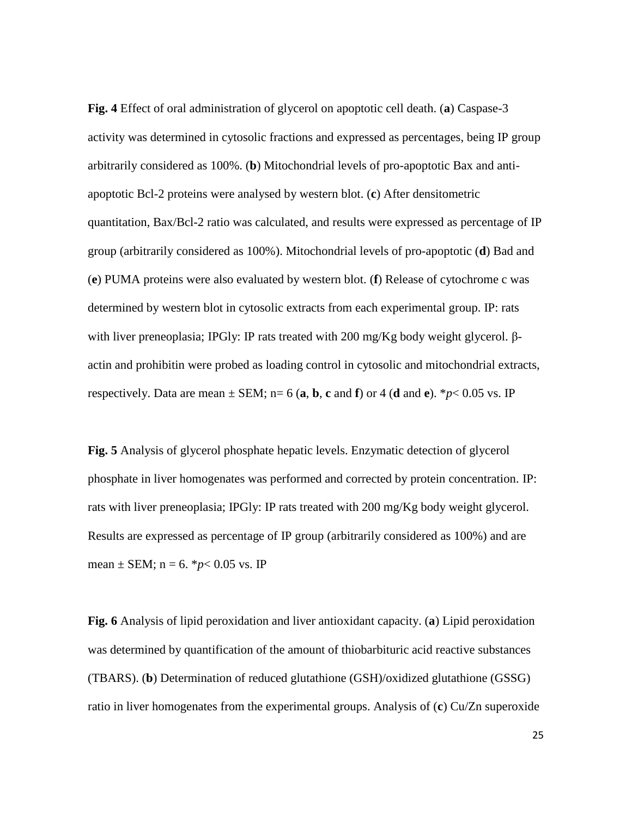**Fig. 4** Effect of oral administration of glycerol on apoptotic cell death. (**a**) Caspase-3 activity was determined in cytosolic fractions and expressed as percentages, being IP group arbitrarily considered as 100%. (**b**) Mitochondrial levels of pro-apoptotic Bax and antiapoptotic Bcl-2 proteins were analysed by western blot. (**c**) After densitometric quantitation, Bax/Bcl-2 ratio was calculated, and results were expressed as percentage of IP group (arbitrarily considered as 100%). Mitochondrial levels of pro-apoptotic (**d**) Bad and (**e**) PUMA proteins were also evaluated by western blot. (**f**) Release of cytochrome c was determined by western blot in cytosolic extracts from each experimental group. IP: rats with liver preneoplasia; IPGly: IP rats treated with 200 mg/Kg body weight glycerol. βactin and prohibitin were probed as loading control in cytosolic and mitochondrial extracts, respectively. Data are mean  $\pm$  SEM; n= 6 (**a**, **b**, **c** and **f**) or 4 (**d** and **e**). \**p*< 0.05 vs. IP

**Fig. 5** Analysis of glycerol phosphate hepatic levels. Enzymatic detection of glycerol phosphate in liver homogenates was performed and corrected by protein concentration. IP: rats with liver preneoplasia; IPGly: IP rats treated with 200 mg/Kg body weight glycerol. Results are expressed as percentage of IP group (arbitrarily considered as 100%) and are mean  $\pm$  SEM; n = 6. \**p*< 0.05 vs. IP

**Fig. 6** Analysis of lipid peroxidation and liver antioxidant capacity. (**a**) Lipid peroxidation was determined by quantification of the amount of thiobarbituric acid reactive substances (TBARS). (**b**) Determination of reduced glutathione (GSH)/oxidized glutathione (GSSG) ratio in liver homogenates from the experimental groups. Analysis of (**c**) Cu/Zn superoxide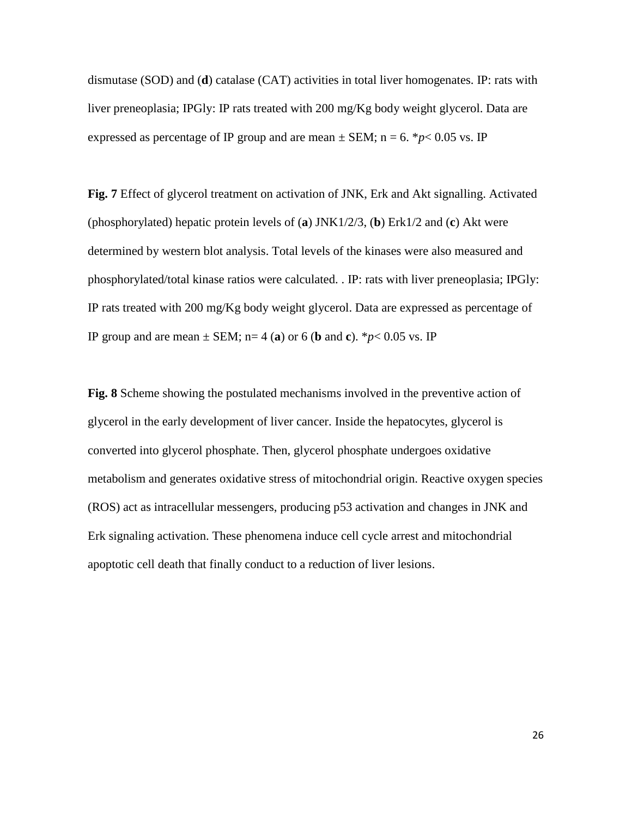dismutase (SOD) and (**d**) catalase (CAT) activities in total liver homogenates. IP: rats with liver preneoplasia; IPGly: IP rats treated with 200 mg/Kg body weight glycerol. Data are expressed as percentage of IP group and are mean  $\pm$  SEM; n = 6. \**p*< 0.05 vs. IP

**Fig. 7** Effect of glycerol treatment on activation of JNK, Erk and Akt signalling. Activated (phosphorylated) hepatic protein levels of (**a**) JNK1/2/3, (**b**) Erk1/2 and (**c**) Akt were determined by western blot analysis. Total levels of the kinases were also measured and phosphorylated/total kinase ratios were calculated. . IP: rats with liver preneoplasia; IPGly: IP rats treated with 200 mg/Kg body weight glycerol. Data are expressed as percentage of IP group and are mean  $\pm$  SEM; n= 4 (a) or 6 (b and c). \**p*< 0.05 vs. IP

**Fig. 8** Scheme showing the postulated mechanisms involved in the preventive action of glycerol in the early development of liver cancer. Inside the hepatocytes, glycerol is converted into glycerol phosphate. Then, glycerol phosphate undergoes oxidative metabolism and generates oxidative stress of mitochondrial origin. Reactive oxygen species (ROS) act as intracellular messengers, producing p53 activation and changes in JNK and Erk signaling activation. These phenomena induce cell cycle arrest and mitochondrial apoptotic cell death that finally conduct to a reduction of liver lesions.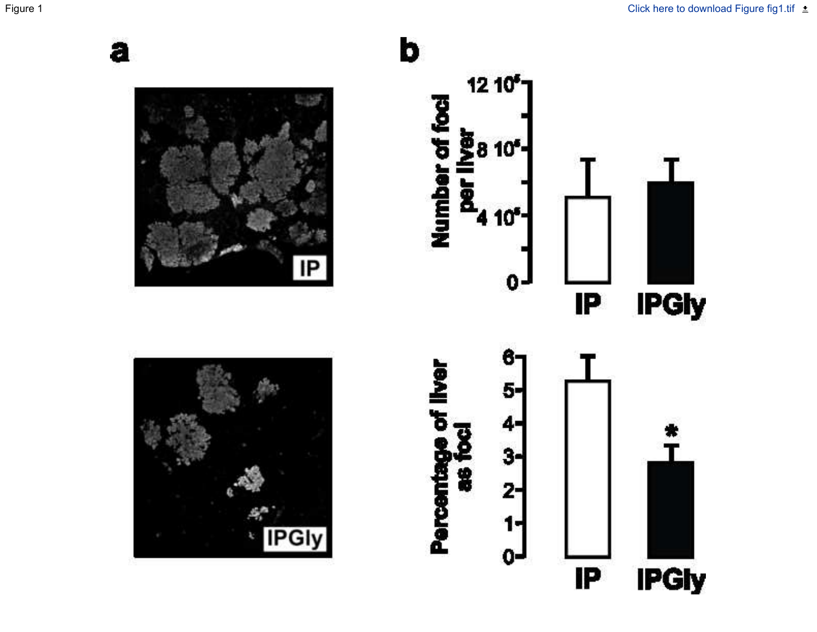

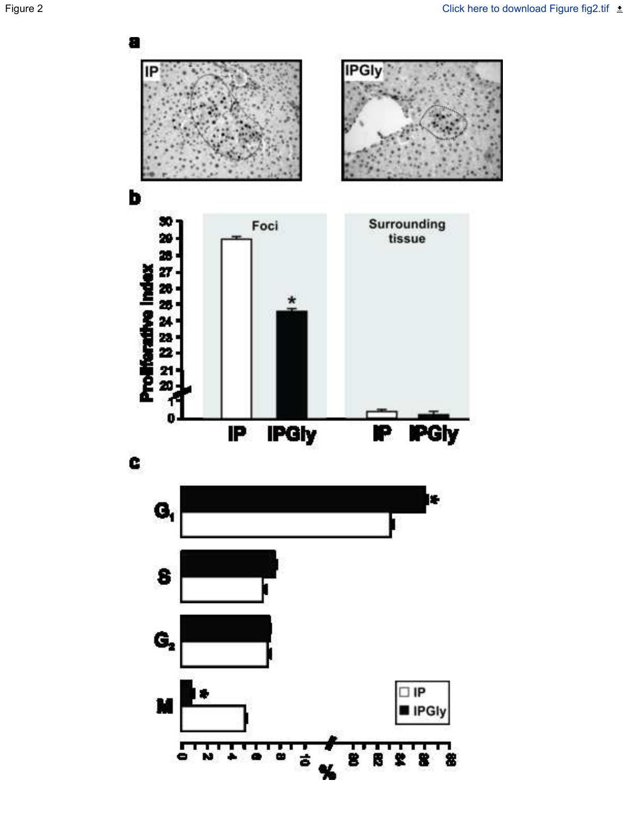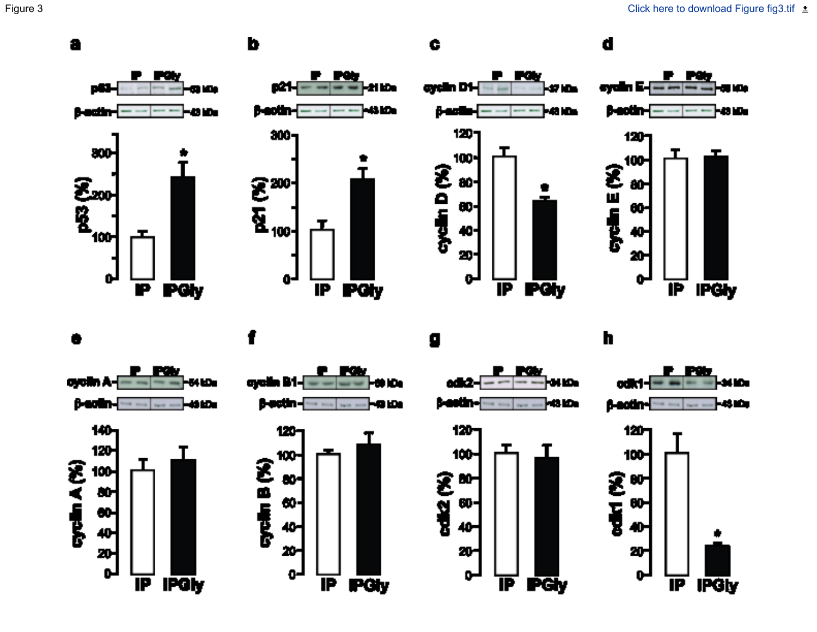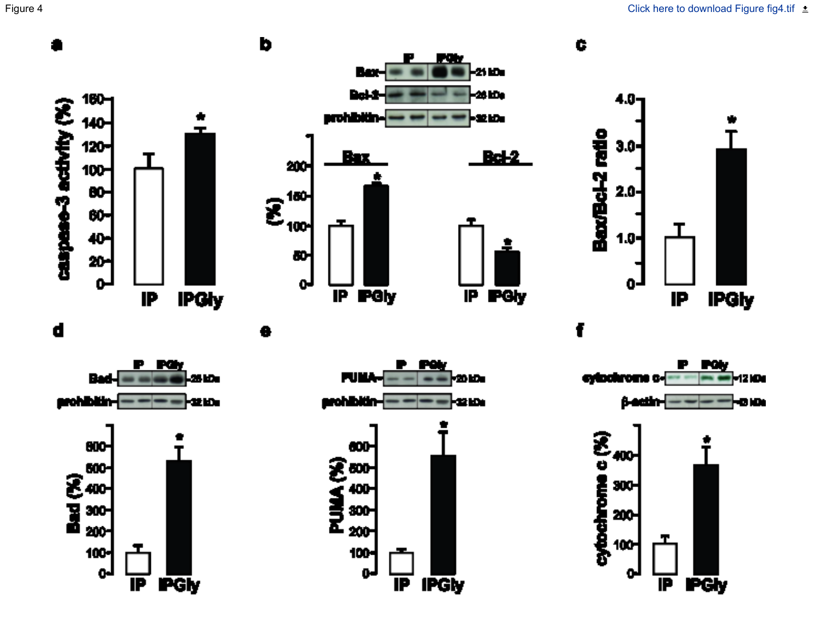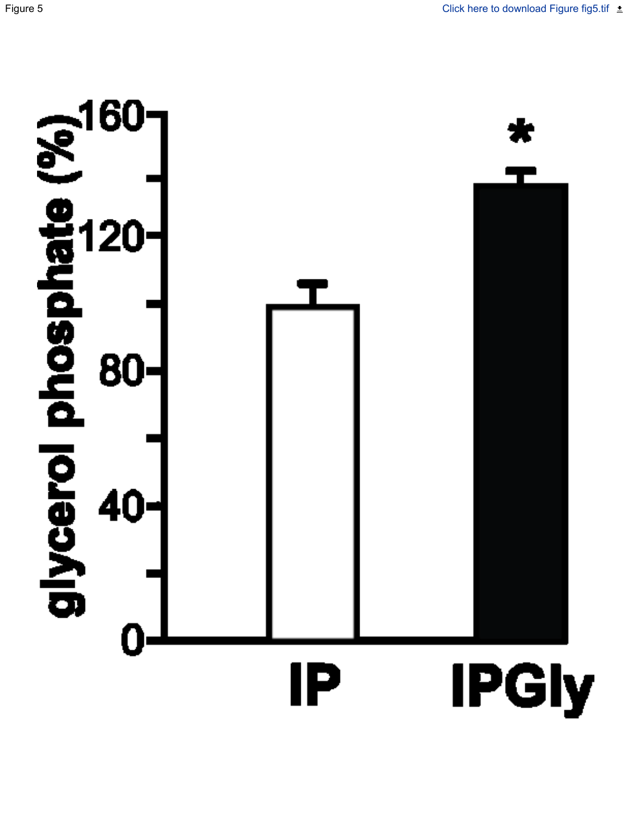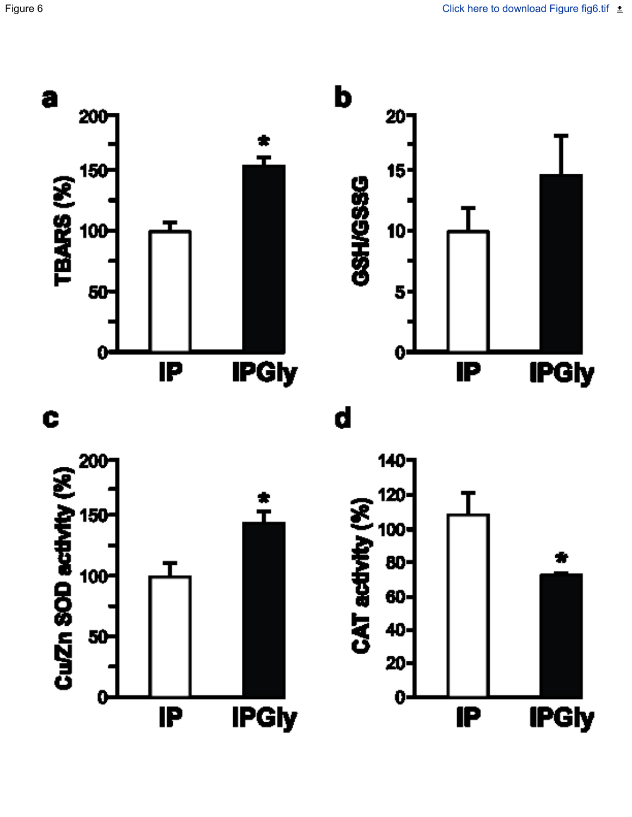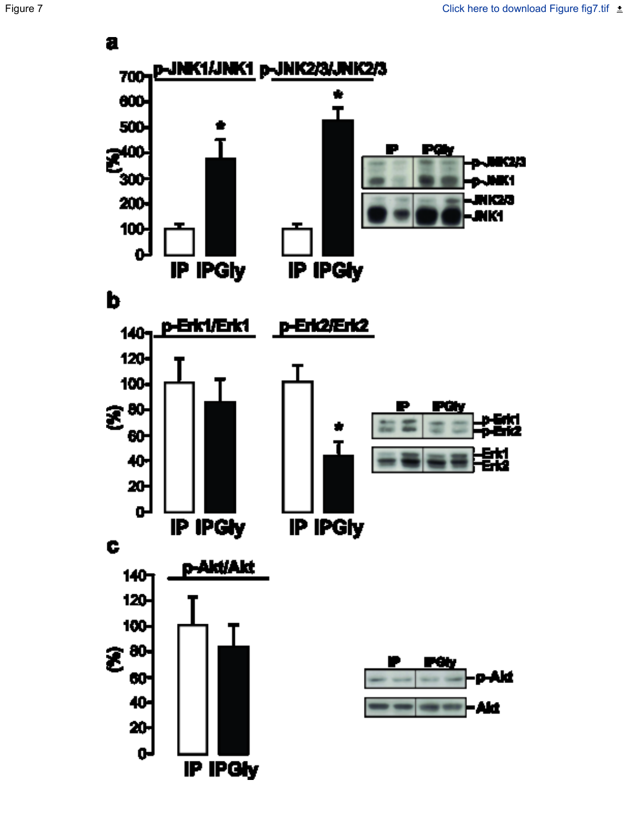

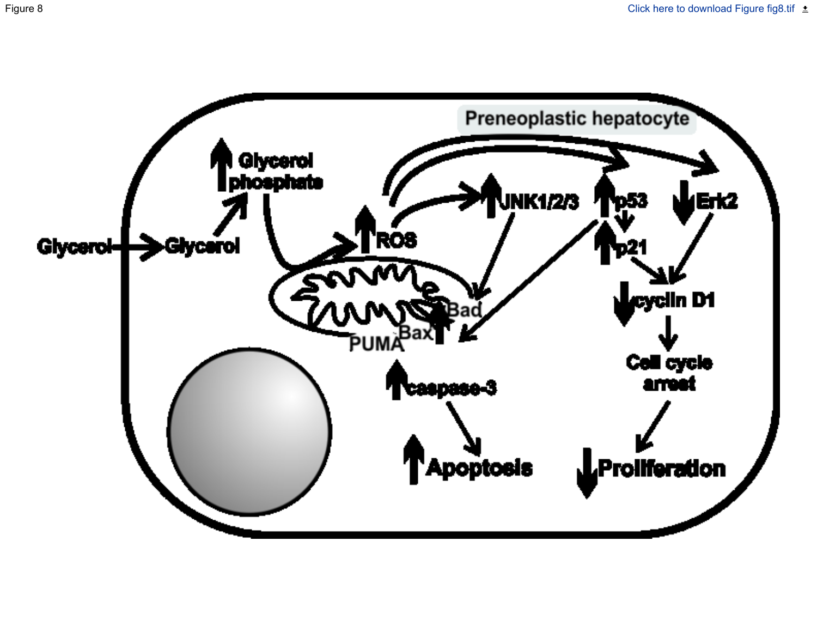